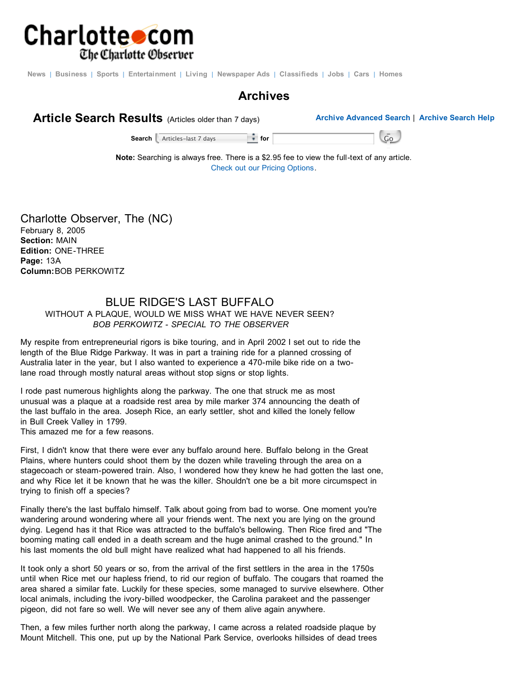

News | Business | Sports | Entertainment | Living | Newspaper Ads | Classifieds | Jobs | Cars | Homes

## **Archives**



**Search** Articles-last 7 days **for for for** Go Box **6** 

**Note:** Searching is always free. There is a \$2.95 fee to view the full-text of any article. Check out our Pricing Options.

Charlotte Observer, The (NC) February 8, 2005 **Section:** MAIN **Edition:** ONE-THREE **Page:** 13A **Column:**BOB PERKOWITZ

## BLUE RIDGE'S LAST BUFFALO WITHOUT A PLAQUE, WOULD WE MISS WHAT WE HAVE NEVER SEEN? *BOB PERKOWITZ - SPECIAL TO THE OBSERVER*

My respite from entrepreneurial rigors is bike touring, and in April 2002 I set out to ride the length of the Blue Ridge Parkway. It was in part a training ride for a planned crossing of Australia later in the year, but I also wanted to experience a 470-mile bike ride on a twolane road through mostly natural areas without stop signs or stop lights.

I rode past numerous highlights along the parkway. The one that struck me as most unusual was a plaque at a roadside rest area by mile marker 374 announcing the death of the last buffalo in the area. Joseph Rice, an early settler, shot and killed the lonely fellow in Bull Creek Valley in 1799.

This amazed me for a few reasons.

First, I didn't know that there were ever any buffalo around here. Buffalo belong in the Great Plains, where hunters could shoot them by the dozen while traveling through the area on a stagecoach or steam-powered train. Also, I wondered how they knew he had gotten the last one, and why Rice let it be known that he was the killer. Shouldn't one be a bit more circumspect in trying to finish off a species?

Finally there's the last buffalo himself. Talk about going from bad to worse. One moment you're wandering around wondering where all your friends went. The next you are lying on the ground dying. Legend has it that Rice was attracted to the buffalo's bellowing. Then Rice fired and "The booming mating call ended in a death scream and the huge animal crashed to the ground." In his last moments the old bull might have realized what had happened to all his friends.

It took only a short 50 years or so, from the arrival of the first settlers in the area in the 1750s until when Rice met our hapless friend, to rid our region of buffalo. The cougars that roamed the area shared a similar fate. Luckily for these species, some managed to survive elsewhere. Other local animals, including the ivory-billed woodpecker, the Carolina parakeet and the passenger pigeon, did not fare so well. We will never see any of them alive again anywhere.

Then, a few miles further north along the parkway, I came across a related roadside plaque by Mount Mitchell. This one, put up by the National Park Service, overlooks hillsides of dead trees